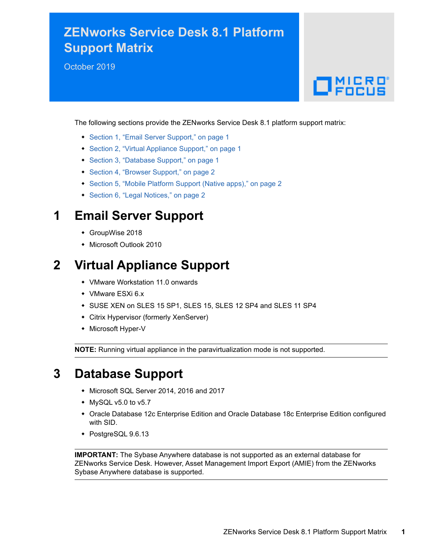# **ZENworks Service Desk 8.1 Platform Support Matrix**

October 2019

# $\Box$ MICRO

The following sections provide the ZENworks Service Desk 8.1 platform support matrix:

- [Section 1, "Email Server Support," on page 1](#page-0-0)
- [Section 2, "Virtual Appliance Support," on page 1](#page-0-1)
- [Section 3, "Database Support," on page 1](#page-0-2)
- [Section 4, "Browser Support," on page 2](#page-1-0)
- [Section 5, "Mobile Platform Support \(Native apps\)," on page 2](#page-1-1)
- [Section 6, "Legal Notices," on page 2](#page-1-2)

#### <span id="page-0-0"></span>**1 Email Server Support**

- GroupWise 2018
- Microsoft Outlook 2010

## <span id="page-0-1"></span>**2 Virtual Appliance Support**

- VMware Workstation 11.0 onwards
- VMware ESXi 6.x
- SUSE XEN on SLES 15 SP1, SLES 15, SLES 12 SP4 and SLES 11 SP4
- Citrix Hypervisor (formerly XenServer)
- Microsoft Hyper-V

**NOTE:** Running virtual appliance in the paravirtualization mode is not supported.

#### <span id="page-0-2"></span>**3 Database Support**

- Microsoft SQL Server 2014, 2016 and 2017
- MySQL v5.0 to v5.7
- Oracle Database 12c Enterprise Edition and Oracle Database 18c Enterprise Edition configured with SID.
- PostgreSQL 9.6.13

**IMPORTANT:** The Sybase Anywhere database is not supported as an external database for ZENworks Service Desk. However, Asset Management Import Export (AMIE) from the ZENworks Sybase Anywhere database is supported.